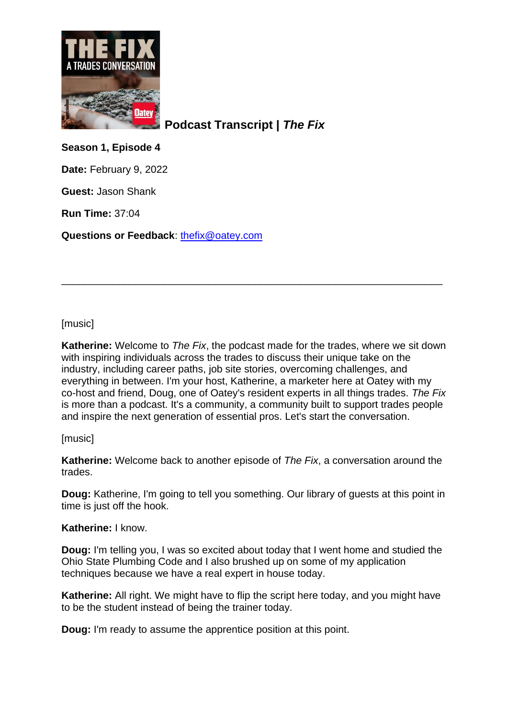

**Podcast Transcript |** *The Fix*

**Season 1, Episode 4**

**Date:** February 9, 2022

**Guest:** Jason Shank

**Run Time:** 37:04

**Questions or Feedback**: [thefix@oatey.com](mailto:thefix@oatey.com)

# [music]

**Katherine:** Welcome to *The Fix*, the podcast made for the trades, where we sit down with inspiring individuals across the trades to discuss their unique take on the industry, including career paths, job site stories, overcoming challenges, and everything in between. I'm your host, Katherine, a marketer here at Oatey with my co-host and friend, Doug, one of Oatey's resident experts in all things trades. *The Fix* is more than a podcast. It's a community, a community built to support trades people and inspire the next generation of essential pros. Let's start the conversation.

\_\_\_\_\_\_\_\_\_\_\_\_\_\_\_\_\_\_\_\_\_\_\_\_\_\_\_\_\_\_\_\_\_\_\_\_\_\_\_\_\_\_\_\_\_\_\_\_\_\_\_\_\_\_\_\_\_\_\_\_\_\_\_\_\_\_\_

# [music]

**Katherine:** Welcome back to another episode of *The Fix*, a conversation around the trades.

**Doug:** Katherine, I'm going to tell you something. Our library of guests at this point in time is just off the hook.

# **Katherine:** I know.

**Doug:** I'm telling you, I was so excited about today that I went home and studied the Ohio State Plumbing Code and I also brushed up on some of my application techniques because we have a real expert in house today.

**Katherine:** All right. We might have to flip the script here today, and you might have to be the student instead of being the trainer today.

**Doug:** I'm ready to assume the apprentice position at this point.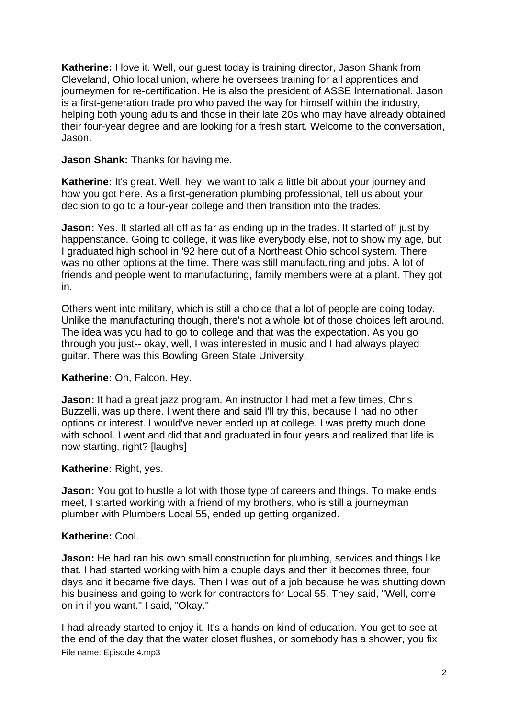**Katherine:** I love it. Well, our guest today is training director, Jason Shank from Cleveland, Ohio local union, where he oversees training for all apprentices and journeymen for re-certification. He is also the president of ASSE International. Jason is a first-generation trade pro who paved the way for himself within the industry, helping both young adults and those in their late 20s who may have already obtained their four-year degree and are looking for a fresh start. Welcome to the conversation, Jason.

# **Jason Shank:** Thanks for having me.

**Katherine:** It's great. Well, hey, we want to talk a little bit about your journey and how you got here. As a first-generation plumbing professional, tell us about your decision to go to a four-year college and then transition into the trades.

**Jason:** Yes. It started all off as far as ending up in the trades. It started off just by happenstance. Going to college, it was like everybody else, not to show my age, but I graduated high school in '92 here out of a Northeast Ohio school system. There was no other options at the time. There was still manufacturing and jobs. A lot of friends and people went to manufacturing, family members were at a plant. They got in.

Others went into military, which is still a choice that a lot of people are doing today. Unlike the manufacturing though, there's not a whole lot of those choices left around. The idea was you had to go to college and that was the expectation. As you go through you just-- okay, well, I was interested in music and I had always played guitar. There was this Bowling Green State University.

# **Katherine:** Oh, Falcon. Hey.

**Jason:** It had a great jazz program. An instructor I had met a few times, Chris Buzzelli, was up there. I went there and said I'll try this, because I had no other options or interest. I would've never ended up at college. I was pretty much done with school. I went and did that and graduated in four years and realized that life is now starting, right? [laughs]

# **Katherine:** Right, yes.

**Jason:** You got to hustle a lot with those type of careers and things. To make ends meet, I started working with a friend of my brothers, who is still a journeyman plumber with Plumbers Local 55, ended up getting organized.

#### **Katherine:** Cool.

**Jason:** He had ran his own small construction for plumbing, services and things like that. I had started working with him a couple days and then it becomes three, four days and it became five days. Then I was out of a job because he was shutting down his business and going to work for contractors for Local 55. They said, "Well, come on in if you want." I said, "Okay."

File name: Episode 4.mp3 I had already started to enjoy it. It's a hands-on kind of education. You get to see at the end of the day that the water closet flushes, or somebody has a shower, you fix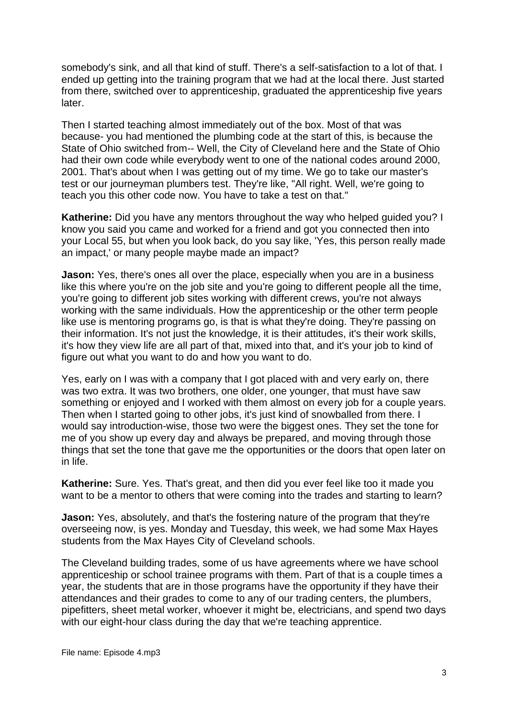somebody's sink, and all that kind of stuff. There's a self-satisfaction to a lot of that. I ended up getting into the training program that we had at the local there. Just started from there, switched over to apprenticeship, graduated the apprenticeship five years later.

Then I started teaching almost immediately out of the box. Most of that was because- you had mentioned the plumbing code at the start of this, is because the State of Ohio switched from-- Well, the City of Cleveland here and the State of Ohio had their own code while everybody went to one of the national codes around 2000, 2001. That's about when I was getting out of my time. We go to take our master's test or our journeyman plumbers test. They're like, "All right. Well, we're going to teach you this other code now. You have to take a test on that."

**Katherine:** Did you have any mentors throughout the way who helped guided you? I know you said you came and worked for a friend and got you connected then into your Local 55, but when you look back, do you say like, 'Yes, this person really made an impact,' or many people maybe made an impact?

**Jason:** Yes, there's ones all over the place, especially when you are in a business like this where you're on the job site and you're going to different people all the time, you're going to different job sites working with different crews, you're not always working with the same individuals. How the apprenticeship or the other term people like use is mentoring programs go, is that is what they're doing. They're passing on their information. It's not just the knowledge, it is their attitudes, it's their work skills, it's how they view life are all part of that, mixed into that, and it's your job to kind of figure out what you want to do and how you want to do.

Yes, early on I was with a company that I got placed with and very early on, there was two extra. It was two brothers, one older, one younger, that must have saw something or enjoyed and I worked with them almost on every job for a couple years. Then when I started going to other jobs, it's just kind of snowballed from there. I would say introduction-wise, those two were the biggest ones. They set the tone for me of you show up every day and always be prepared, and moving through those things that set the tone that gave me the opportunities or the doors that open later on in life.

**Katherine:** Sure. Yes. That's great, and then did you ever feel like too it made you want to be a mentor to others that were coming into the trades and starting to learn?

**Jason:** Yes, absolutely, and that's the fostering nature of the program that they're overseeing now, is yes. Monday and Tuesday, this week, we had some Max Hayes students from the Max Hayes City of Cleveland schools.

The Cleveland building trades, some of us have agreements where we have school apprenticeship or school trainee programs with them. Part of that is a couple times a year, the students that are in those programs have the opportunity if they have their attendances and their grades to come to any of our trading centers, the plumbers, pipefitters, sheet metal worker, whoever it might be, electricians, and spend two days with our eight-hour class during the day that we're teaching apprentice.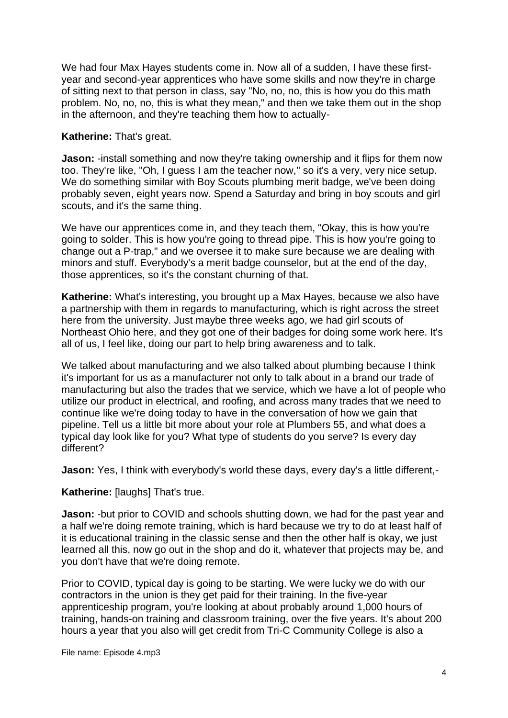We had four Max Hayes students come in. Now all of a sudden, I have these firstyear and second-year apprentices who have some skills and now they're in charge of sitting next to that person in class, say "No, no, no, this is how you do this math problem. No, no, no, this is what they mean," and then we take them out in the shop in the afternoon, and they're teaching them how to actually-

# **Katherine:** That's great.

**Jason:** -install something and now they're taking ownership and it flips for them now too. They're like, "Oh, I guess I am the teacher now," so it's a very, very nice setup. We do something similar with Boy Scouts plumbing merit badge, we've been doing probably seven, eight years now. Spend a Saturday and bring in boy scouts and girl scouts, and it's the same thing.

We have our apprentices come in, and they teach them, "Okay, this is how you're going to solder. This is how you're going to thread pipe. This is how you're going to change out a P-trap," and we oversee it to make sure because we are dealing with minors and stuff. Everybody's a merit badge counselor, but at the end of the day, those apprentices, so it's the constant churning of that.

**Katherine:** What's interesting, you brought up a Max Hayes, because we also have a partnership with them in regards to manufacturing, which is right across the street here from the university. Just maybe three weeks ago, we had girl scouts of Northeast Ohio here, and they got one of their badges for doing some work here. It's all of us, I feel like, doing our part to help bring awareness and to talk.

We talked about manufacturing and we also talked about plumbing because I think it's important for us as a manufacturer not only to talk about in a brand our trade of manufacturing but also the trades that we service, which we have a lot of people who utilize our product in electrical, and roofing, and across many trades that we need to continue like we're doing today to have in the conversation of how we gain that pipeline. Tell us a little bit more about your role at Plumbers 55, and what does a typical day look like for you? What type of students do you serve? Is every day different?

**Jason:** Yes, I think with everybody's world these days, every day's a little different,-

**Katherine:** [laughs] That's true.

**Jason:** -but prior to COVID and schools shutting down, we had for the past year and a half we're doing remote training, which is hard because we try to do at least half of it is educational training in the classic sense and then the other half is okay, we just learned all this, now go out in the shop and do it, whatever that projects may be, and you don't have that we're doing remote.

Prior to COVID, typical day is going to be starting. We were lucky we do with our contractors in the union is they get paid for their training. In the five-year apprenticeship program, you're looking at about probably around 1,000 hours of training, hands-on training and classroom training, over the five years. It's about 200 hours a year that you also will get credit from Tri-C Community College is also a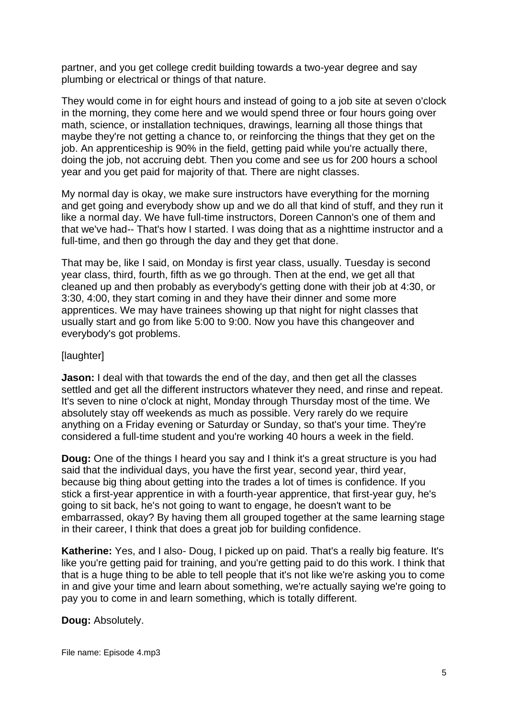partner, and you get college credit building towards a two-year degree and say plumbing or electrical or things of that nature.

They would come in for eight hours and instead of going to a job site at seven o'clock in the morning, they come here and we would spend three or four hours going over math, science, or installation techniques, drawings, learning all those things that maybe they're not getting a chance to, or reinforcing the things that they get on the job. An apprenticeship is 90% in the field, getting paid while you're actually there, doing the job, not accruing debt. Then you come and see us for 200 hours a school year and you get paid for majority of that. There are night classes.

My normal day is okay, we make sure instructors have everything for the morning and get going and everybody show up and we do all that kind of stuff, and they run it like a normal day. We have full-time instructors, Doreen Cannon's one of them and that we've had-- That's how I started. I was doing that as a nighttime instructor and a full-time, and then go through the day and they get that done.

That may be, like I said, on Monday is first year class, usually. Tuesday is second year class, third, fourth, fifth as we go through. Then at the end, we get all that cleaned up and then probably as everybody's getting done with their job at 4:30, or 3:30, 4:00, they start coming in and they have their dinner and some more apprentices. We may have trainees showing up that night for night classes that usually start and go from like 5:00 to 9:00. Now you have this changeover and everybody's got problems.

### [laughter]

**Jason:** I deal with that towards the end of the day, and then get all the classes settled and get all the different instructors whatever they need, and rinse and repeat. It's seven to nine o'clock at night, Monday through Thursday most of the time. We absolutely stay off weekends as much as possible. Very rarely do we require anything on a Friday evening or Saturday or Sunday, so that's your time. They're considered a full-time student and you're working 40 hours a week in the field.

**Doug:** One of the things I heard you say and I think it's a great structure is you had said that the individual days, you have the first year, second year, third year, because big thing about getting into the trades a lot of times is confidence. If you stick a first-year apprentice in with a fourth-year apprentice, that first-year guy, he's going to sit back, he's not going to want to engage, he doesn't want to be embarrassed, okay? By having them all grouped together at the same learning stage in their career, I think that does a great job for building confidence.

**Katherine:** Yes, and I also- Doug, I picked up on paid. That's a really big feature. It's like you're getting paid for training, and you're getting paid to do this work. I think that that is a huge thing to be able to tell people that it's not like we're asking you to come in and give your time and learn about something, we're actually saying we're going to pay you to come in and learn something, which is totally different.

#### **Doug:** Absolutely.

File name: Episode 4.mp3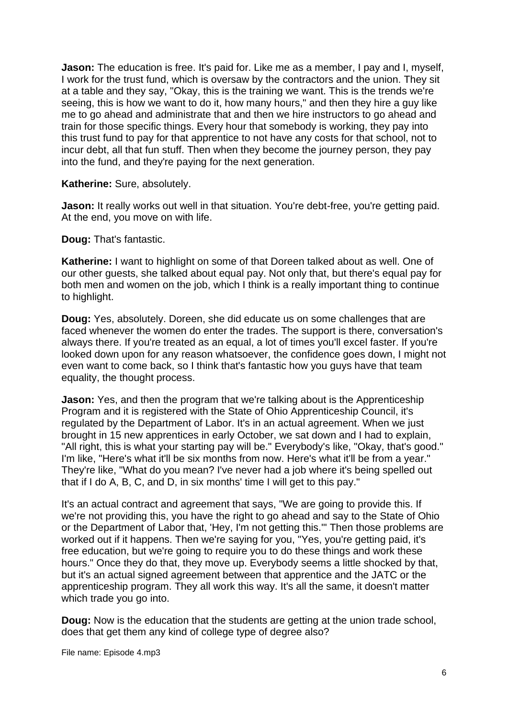**Jason:** The education is free. It's paid for. Like me as a member, I pay and I, myself, I work for the trust fund, which is oversaw by the contractors and the union. They sit at a table and they say, "Okay, this is the training we want. This is the trends we're seeing, this is how we want to do it, how many hours," and then they hire a guy like me to go ahead and administrate that and then we hire instructors to go ahead and train for those specific things. Every hour that somebody is working, they pay into this trust fund to pay for that apprentice to not have any costs for that school, not to incur debt, all that fun stuff. Then when they become the journey person, they pay into the fund, and they're paying for the next generation.

**Katherine:** Sure, absolutely.

**Jason:** It really works out well in that situation. You're debt-free, you're getting paid. At the end, you move on with life.

**Doug:** That's fantastic.

**Katherine:** I want to highlight on some of that Doreen talked about as well. One of our other guests, she talked about equal pay. Not only that, but there's equal pay for both men and women on the job, which I think is a really important thing to continue to highlight.

**Doug:** Yes, absolutely. Doreen, she did educate us on some challenges that are faced whenever the women do enter the trades. The support is there, conversation's always there. If you're treated as an equal, a lot of times you'll excel faster. If you're looked down upon for any reason whatsoever, the confidence goes down, I might not even want to come back, so I think that's fantastic how you guys have that team equality, the thought process.

**Jason:** Yes, and then the program that we're talking about is the Apprenticeship Program and it is registered with the State of Ohio Apprenticeship Council, it's regulated by the Department of Labor. It's in an actual agreement. When we just brought in 15 new apprentices in early October, we sat down and I had to explain, "All right, this is what your starting pay will be." Everybody's like, "Okay, that's good." I'm like, "Here's what it'll be six months from now. Here's what it'll be from a year." They're like, "What do you mean? I've never had a job where it's being spelled out that if I do A, B, C, and D, in six months' time I will get to this pay."

It's an actual contract and agreement that says, "We are going to provide this. If we're not providing this, you have the right to go ahead and say to the State of Ohio or the Department of Labor that, 'Hey, I'm not getting this.'" Then those problems are worked out if it happens. Then we're saying for you, "Yes, you're getting paid, it's free education, but we're going to require you to do these things and work these hours." Once they do that, they move up. Everybody seems a little shocked by that, but it's an actual signed agreement between that apprentice and the JATC or the apprenticeship program. They all work this way. It's all the same, it doesn't matter which trade you go into.

**Doug:** Now is the education that the students are getting at the union trade school, does that get them any kind of college type of degree also?

File name: Episode 4.mp3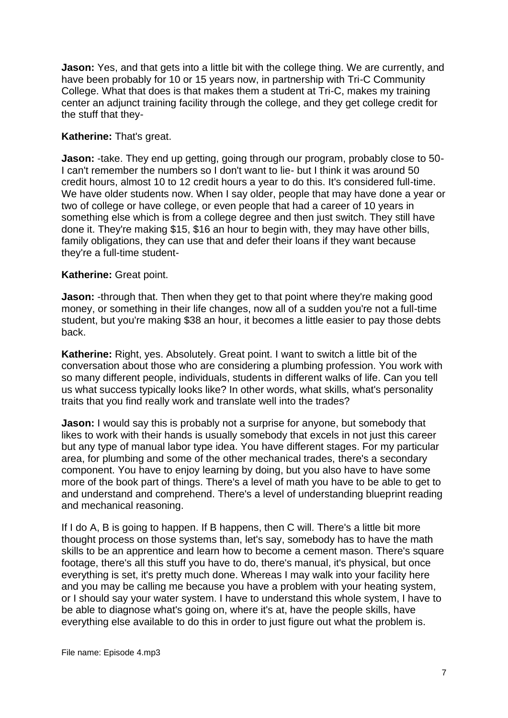**Jason:** Yes, and that gets into a little bit with the college thing. We are currently, and have been probably for 10 or 15 years now, in partnership with Tri-C Community College. What that does is that makes them a student at Tri-C, makes my training center an adjunct training facility through the college, and they get college credit for the stuff that they-

# **Katherine:** That's great.

**Jason:** -take. They end up getting, going through our program, probably close to 50- I can't remember the numbers so I don't want to lie- but I think it was around 50 credit hours, almost 10 to 12 credit hours a year to do this. It's considered full-time. We have older students now. When I say older, people that may have done a year or two of college or have college, or even people that had a career of 10 years in something else which is from a college degree and then just switch. They still have done it. They're making \$15, \$16 an hour to begin with, they may have other bills, family obligations, they can use that and defer their loans if they want because they're a full-time student-

# **Katherine:** Great point.

**Jason:** -through that. Then when they get to that point where they're making good money, or something in their life changes, now all of a sudden you're not a full-time student, but you're making \$38 an hour, it becomes a little easier to pay those debts back.

**Katherine:** Right, yes. Absolutely. Great point. I want to switch a little bit of the conversation about those who are considering a plumbing profession. You work with so many different people, individuals, students in different walks of life. Can you tell us what success typically looks like? In other words, what skills, what's personality traits that you find really work and translate well into the trades?

**Jason:** I would say this is probably not a surprise for anyone, but somebody that likes to work with their hands is usually somebody that excels in not just this career but any type of manual labor type idea. You have different stages. For my particular area, for plumbing and some of the other mechanical trades, there's a secondary component. You have to enjoy learning by doing, but you also have to have some more of the book part of things. There's a level of math you have to be able to get to and understand and comprehend. There's a level of understanding blueprint reading and mechanical reasoning.

If I do A, B is going to happen. If B happens, then C will. There's a little bit more thought process on those systems than, let's say, somebody has to have the math skills to be an apprentice and learn how to become a cement mason. There's square footage, there's all this stuff you have to do, there's manual, it's physical, but once everything is set, it's pretty much done. Whereas I may walk into your facility here and you may be calling me because you have a problem with your heating system, or I should say your water system. I have to understand this whole system, I have to be able to diagnose what's going on, where it's at, have the people skills, have everything else available to do this in order to just figure out what the problem is.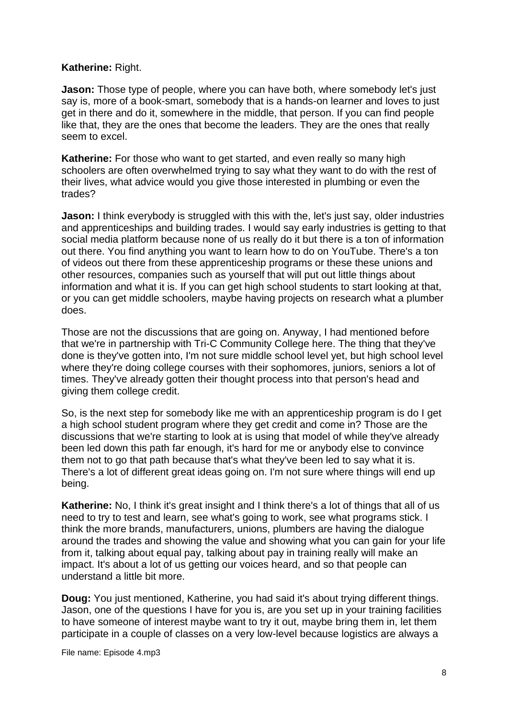# **Katherine:** Right.

**Jason:** Those type of people, where you can have both, where somebody let's just say is, more of a book-smart, somebody that is a hands-on learner and loves to just get in there and do it, somewhere in the middle, that person. If you can find people like that, they are the ones that become the leaders. They are the ones that really seem to excel.

**Katherine:** For those who want to get started, and even really so many high schoolers are often overwhelmed trying to say what they want to do with the rest of their lives, what advice would you give those interested in plumbing or even the trades?

**Jason:** I think everybody is struggled with this with the, let's just say, older industries and apprenticeships and building trades. I would say early industries is getting to that social media platform because none of us really do it but there is a ton of information out there. You find anything you want to learn how to do on YouTube. There's a ton of videos out there from these apprenticeship programs or these these unions and other resources, companies such as yourself that will put out little things about information and what it is. If you can get high school students to start looking at that, or you can get middle schoolers, maybe having projects on research what a plumber does.

Those are not the discussions that are going on. Anyway, I had mentioned before that we're in partnership with Tri-C Community College here. The thing that they've done is they've gotten into, I'm not sure middle school level yet, but high school level where they're doing college courses with their sophomores, juniors, seniors a lot of times. They've already gotten their thought process into that person's head and giving them college credit.

So, is the next step for somebody like me with an apprenticeship program is do I get a high school student program where they get credit and come in? Those are the discussions that we're starting to look at is using that model of while they've already been led down this path far enough, it's hard for me or anybody else to convince them not to go that path because that's what they've been led to say what it is. There's a lot of different great ideas going on. I'm not sure where things will end up being.

**Katherine:** No, I think it's great insight and I think there's a lot of things that all of us need to try to test and learn, see what's going to work, see what programs stick. I think the more brands, manufacturers, unions, plumbers are having the dialogue around the trades and showing the value and showing what you can gain for your life from it, talking about equal pay, talking about pay in training really will make an impact. It's about a lot of us getting our voices heard, and so that people can understand a little bit more.

**Doug:** You just mentioned, Katherine, you had said it's about trying different things. Jason, one of the questions I have for you is, are you set up in your training facilities to have someone of interest maybe want to try it out, maybe bring them in, let them participate in a couple of classes on a very low-level because logistics are always a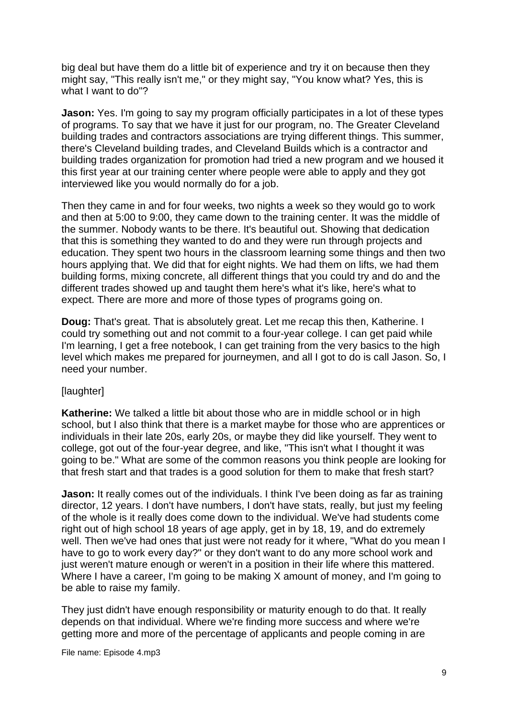big deal but have them do a little bit of experience and try it on because then they might say, "This really isn't me," or they might say, "You know what? Yes, this is what I want to do"?

**Jason:** Yes. I'm going to say my program officially participates in a lot of these types of programs. To say that we have it just for our program, no. The Greater Cleveland building trades and contractors associations are trying different things. This summer, there's Cleveland building trades, and Cleveland Builds which is a contractor and building trades organization for promotion had tried a new program and we housed it this first year at our training center where people were able to apply and they got interviewed like you would normally do for a job.

Then they came in and for four weeks, two nights a week so they would go to work and then at 5:00 to 9:00, they came down to the training center. It was the middle of the summer. Nobody wants to be there. It's beautiful out. Showing that dedication that this is something they wanted to do and they were run through projects and education. They spent two hours in the classroom learning some things and then two hours applying that. We did that for eight nights. We had them on lifts, we had them building forms, mixing concrete, all different things that you could try and do and the different trades showed up and taught them here's what it's like, here's what to expect. There are more and more of those types of programs going on.

**Doug:** That's great. That is absolutely great. Let me recap this then, Katherine. I could try something out and not commit to a four-year college. I can get paid while I'm learning, I get a free notebook, I can get training from the very basics to the high level which makes me prepared for journeymen, and all I got to do is call Jason. So, I need your number.

#### [laughter]

**Katherine:** We talked a little bit about those who are in middle school or in high school, but I also think that there is a market maybe for those who are apprentices or individuals in their late 20s, early 20s, or maybe they did like yourself. They went to college, got out of the four-year degree, and like, "This isn't what I thought it was going to be." What are some of the common reasons you think people are looking for that fresh start and that trades is a good solution for them to make that fresh start?

**Jason:** It really comes out of the individuals. I think I've been doing as far as training director, 12 years. I don't have numbers, I don't have stats, really, but just my feeling of the whole is it really does come down to the individual. We've had students come right out of high school 18 years of age apply, get in by 18, 19, and do extremely well. Then we've had ones that just were not ready for it where, "What do you mean I have to go to work every day?" or they don't want to do any more school work and just weren't mature enough or weren't in a position in their life where this mattered. Where I have a career, I'm going to be making X amount of money, and I'm going to be able to raise my family.

They just didn't have enough responsibility or maturity enough to do that. It really depends on that individual. Where we're finding more success and where we're getting more and more of the percentage of applicants and people coming in are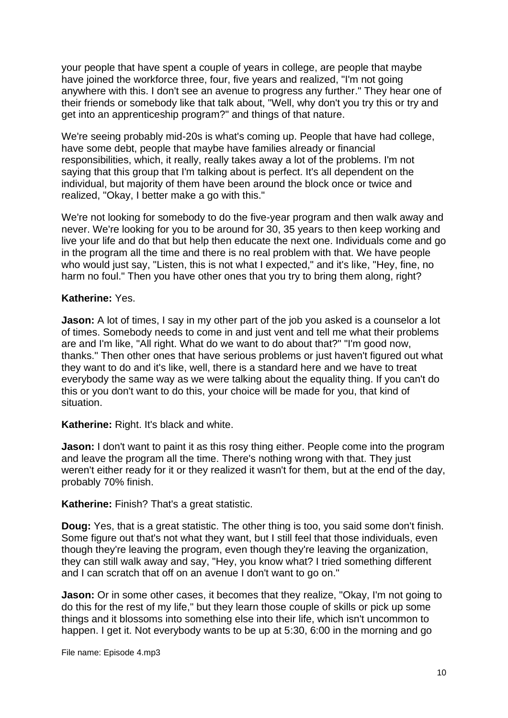your people that have spent a couple of years in college, are people that maybe have joined the workforce three, four, five years and realized, "I'm not going anywhere with this. I don't see an avenue to progress any further." They hear one of their friends or somebody like that talk about, "Well, why don't you try this or try and get into an apprenticeship program?" and things of that nature.

We're seeing probably mid-20s is what's coming up. People that have had college, have some debt, people that maybe have families already or financial responsibilities, which, it really, really takes away a lot of the problems. I'm not saying that this group that I'm talking about is perfect. It's all dependent on the individual, but majority of them have been around the block once or twice and realized, "Okay, I better make a go with this."

We're not looking for somebody to do the five-year program and then walk away and never. We're looking for you to be around for 30, 35 years to then keep working and live your life and do that but help then educate the next one. Individuals come and go in the program all the time and there is no real problem with that. We have people who would just say, "Listen, this is not what I expected," and it's like, "Hey, fine, no harm no foul." Then you have other ones that you try to bring them along, right?

# **Katherine:** Yes.

**Jason:** A lot of times, I say in my other part of the job you asked is a counselor a lot of times. Somebody needs to come in and just vent and tell me what their problems are and I'm like, "All right. What do we want to do about that?" "I'm good now, thanks." Then other ones that have serious problems or just haven't figured out what they want to do and it's like, well, there is a standard here and we have to treat everybody the same way as we were talking about the equality thing. If you can't do this or you don't want to do this, your choice will be made for you, that kind of situation.

# **Katherine:** Right. It's black and white.

**Jason:** I don't want to paint it as this rosy thing either. People come into the program and leave the program all the time. There's nothing wrong with that. They just weren't either ready for it or they realized it wasn't for them, but at the end of the day, probably 70% finish.

#### **Katherine:** Finish? That's a great statistic.

**Doug:** Yes, that is a great statistic. The other thing is too, you said some don't finish. Some figure out that's not what they want, but I still feel that those individuals, even though they're leaving the program, even though they're leaving the organization, they can still walk away and say, "Hey, you know what? I tried something different and I can scratch that off on an avenue I don't want to go on."

**Jason:** Or in some other cases, it becomes that they realize, "Okay, I'm not going to do this for the rest of my life," but they learn those couple of skills or pick up some things and it blossoms into something else into their life, which isn't uncommon to happen. I get it. Not everybody wants to be up at 5:30, 6:00 in the morning and go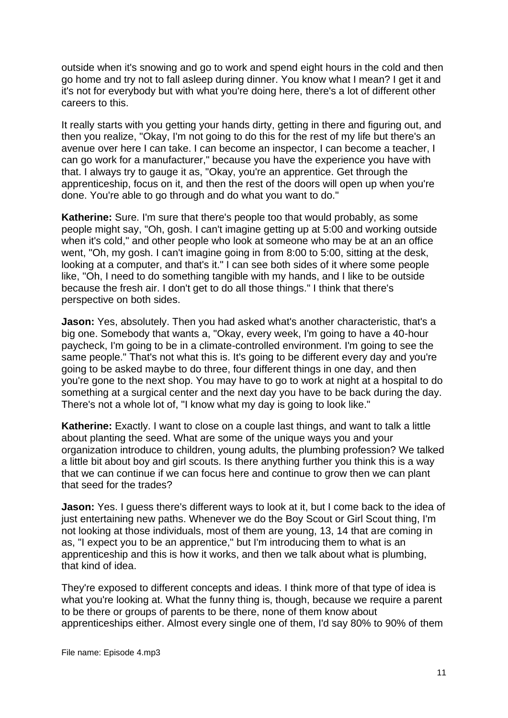outside when it's snowing and go to work and spend eight hours in the cold and then go home and try not to fall asleep during dinner. You know what I mean? I get it and it's not for everybody but with what you're doing here, there's a lot of different other careers to this.

It really starts with you getting your hands dirty, getting in there and figuring out, and then you realize, "Okay, I'm not going to do this for the rest of my life but there's an avenue over here I can take. I can become an inspector, I can become a teacher, I can go work for a manufacturer," because you have the experience you have with that. I always try to gauge it as, "Okay, you're an apprentice. Get through the apprenticeship, focus on it, and then the rest of the doors will open up when you're done. You're able to go through and do what you want to do."

**Katherine:** Sure. I'm sure that there's people too that would probably, as some people might say, "Oh, gosh. I can't imagine getting up at 5:00 and working outside when it's cold," and other people who look at someone who may be at an an office went, "Oh, my gosh. I can't imagine going in from 8:00 to 5:00, sitting at the desk, looking at a computer, and that's it." I can see both sides of it where some people like, "Oh, I need to do something tangible with my hands, and I like to be outside because the fresh air. I don't get to do all those things." I think that there's perspective on both sides.

**Jason:** Yes, absolutely. Then you had asked what's another characteristic, that's a big one. Somebody that wants a, "Okay, every week, I'm going to have a 40-hour paycheck, I'm going to be in a climate-controlled environment. I'm going to see the same people." That's not what this is. It's going to be different every day and you're going to be asked maybe to do three, four different things in one day, and then you're gone to the next shop. You may have to go to work at night at a hospital to do something at a surgical center and the next day you have to be back during the day. There's not a whole lot of, "I know what my day is going to look like."

**Katherine:** Exactly. I want to close on a couple last things, and want to talk a little about planting the seed. What are some of the unique ways you and your organization introduce to children, young adults, the plumbing profession? We talked a little bit about boy and girl scouts. Is there anything further you think this is a way that we can continue if we can focus here and continue to grow then we can plant that seed for the trades?

**Jason:** Yes. I guess there's different ways to look at it, but I come back to the idea of just entertaining new paths. Whenever we do the Boy Scout or Girl Scout thing, I'm not looking at those individuals, most of them are young, 13, 14 that are coming in as, "I expect you to be an apprentice," but I'm introducing them to what is an apprenticeship and this is how it works, and then we talk about what is plumbing, that kind of idea.

They're exposed to different concepts and ideas. I think more of that type of idea is what you're looking at. What the funny thing is, though, because we require a parent to be there or groups of parents to be there, none of them know about apprenticeships either. Almost every single one of them, I'd say 80% to 90% of them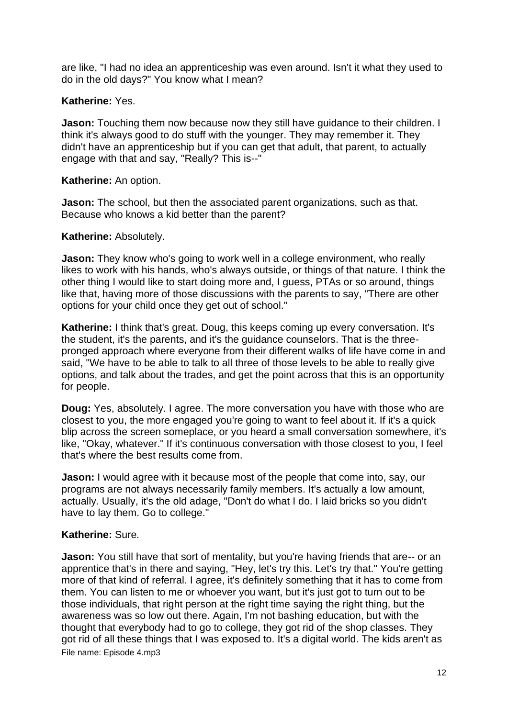are like, "I had no idea an apprenticeship was even around. Isn't it what they used to do in the old days?" You know what I mean?

# **Katherine:** Yes.

**Jason:** Touching them now because now they still have quidance to their children. I think it's always good to do stuff with the younger. They may remember it. They didn't have an apprenticeship but if you can get that adult, that parent, to actually engage with that and say, "Really? This is--"

# **Katherine:** An option.

**Jason:** The school, but then the associated parent organizations, such as that, Because who knows a kid better than the parent?

# **Katherine:** Absolutely.

**Jason:** They know who's going to work well in a college environment, who really likes to work with his hands, who's always outside, or things of that nature. I think the other thing I would like to start doing more and, I guess, PTAs or so around, things like that, having more of those discussions with the parents to say, "There are other options for your child once they get out of school."

**Katherine:** I think that's great. Doug, this keeps coming up every conversation. It's the student, it's the parents, and it's the guidance counselors. That is the threepronged approach where everyone from their different walks of life have come in and said, "We have to be able to talk to all three of those levels to be able to really give options, and talk about the trades, and get the point across that this is an opportunity for people.

**Doug:** Yes, absolutely. I agree. The more conversation you have with those who are closest to you, the more engaged you're going to want to feel about it. If it's a quick blip across the screen someplace, or you heard a small conversation somewhere, it's like, "Okay, whatever." If it's continuous conversation with those closest to you, I feel that's where the best results come from.

**Jason:** I would agree with it because most of the people that come into, say, our programs are not always necessarily family members. It's actually a low amount, actually. Usually, it's the old adage, "Don't do what I do. I laid bricks so you didn't have to lay them. Go to college."

# **Katherine:** Sure.

File name: Episode 4.mp3 **Jason:** You still have that sort of mentality, but you're having friends that are-- or an apprentice that's in there and saying, "Hey, let's try this. Let's try that." You're getting more of that kind of referral. I agree, it's definitely something that it has to come from them. You can listen to me or whoever you want, but it's just got to turn out to be those individuals, that right person at the right time saying the right thing, but the awareness was so low out there. Again, I'm not bashing education, but with the thought that everybody had to go to college, they got rid of the shop classes. They got rid of all these things that I was exposed to. It's a digital world. The kids aren't as